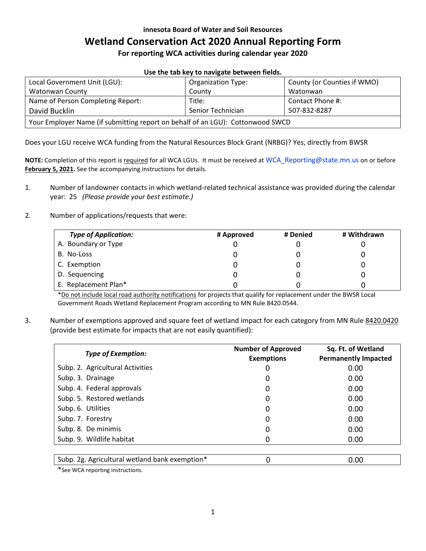#### **innesota Board of Water and Soil Resources**

# **Wetland Conservation Act 2020 Annual Reporting Form**

**For reporting WCA activities during calendar year 2020**

| USE LITE LAD NEW LU HAVIKALE DELWEEH HEIUS.                                    |                           |                             |  |  |  |
|--------------------------------------------------------------------------------|---------------------------|-----------------------------|--|--|--|
| Local Government Unit (LGU):                                                   | <b>Organization Type:</b> | County (or Counties if WMO) |  |  |  |
| Watonwan County                                                                | County                    | Watonwan                    |  |  |  |
| Name of Person Completing Report:                                              | Title:                    | Contact Phone #:            |  |  |  |
| David Bucklin                                                                  | Senior Technician         | 507-832-8287                |  |  |  |
| Your Employer Name (if submitting report on behalf of an LGU): Cottonwood SWCD |                           |                             |  |  |  |

**Use the tab key to navigate between fields.**

Does your LGU receive WCA funding from the Natural Resources Block Grant (NRBG)? Yes, directly from BWSR

**NOTE:** Completion of this report is required for all WCA LGUs. It must be received at [WCA\\_Reporting@state.mn.us](mailto:WCA_Reporting@state.mn.us) on or before **February 5, 2021.** See the accompanying instructions for details.

- 1. Number of landowner contacts in which wetland-related technical assistance was provided during the calendar year: 25 *(Please provide your best estimate.)*
- 2. Number of applications/requests that were:

| <b>Type of Application:</b> | # Approved | # Denied | # Withdrawn |
|-----------------------------|------------|----------|-------------|
| A. Boundary or Type         |            |          |             |
| B. No-Loss                  |            |          |             |
| C. Exemption                |            |          |             |
| D. Sequencing               |            |          |             |
| E. Replacement Plan*        |            |          |             |

\*Do not include local road authority notifications for projects that qualify for replacement under the BWSR Local Government Roads Wetland Replacement Program according to MN Rule 8420.0544.

3. Number of exemptions approved and square feet of wetland impact for each category from MN Rule [8420.0420](https://www.revisor.mn.gov/rules/?id=8420.0420) (provide best estimate for impacts that are not easily quantified):

| <b>Type of Exemption:</b>                      | <b>Number of Approved</b><br><b>Exemptions</b> | Sq. Ft. of Wetland<br><b>Permanently Impacted</b> |
|------------------------------------------------|------------------------------------------------|---------------------------------------------------|
| Subp. 2. Agricultural Activities               |                                                | 0.00                                              |
| Subp. 3. Drainage                              |                                                | 0.00                                              |
| Subp. 4. Federal approvals                     |                                                | 0.00                                              |
| Subp. 5. Restored wetlands                     | 0                                              | 0.00                                              |
| Subp. 6. Utilities                             |                                                | 0.00                                              |
| Subp. 7. Forestry                              | O                                              | 0.00                                              |
| Subp. 8. De minimis                            | O                                              | 0.00                                              |
| Subp. 9. Wildlife habitat                      |                                                | 0.00                                              |
|                                                |                                                |                                                   |
| Subp. 2g. Agricultural wetland bank exemption* |                                                | 0.00                                              |

\*See WCA reporting instructions.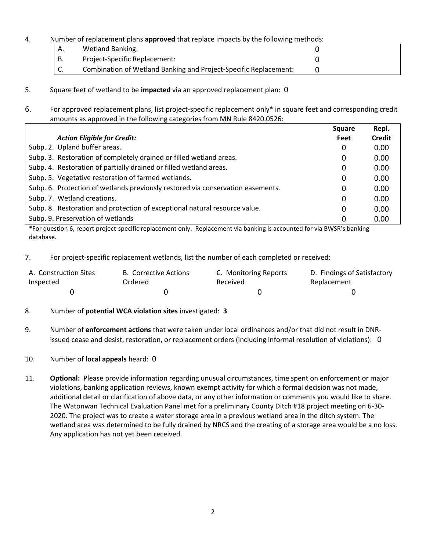#### 4. Number of replacement plans **approved** that replace impacts by the following methods:

| А. | <b>Wetland Banking:</b>                                          |  |
|----|------------------------------------------------------------------|--|
| В. | Project-Specific Replacement:                                    |  |
| J. | Combination of Wetland Banking and Project-Specific Replacement: |  |

- 5. Square feet of wetland to be **impacted** via an approved replacement plan: 0
- 6. For approved replacement plans, list project-specific replacement only\* in square feet and corresponding credit amounts as approved in the following categories from MN Rule 8420.0526:

|                                                                                 | <b>Square</b> | Repl.  |
|---------------------------------------------------------------------------------|---------------|--------|
| <b>Action Eligible for Credit:</b>                                              | Feet          | Credit |
| Subp. 2. Upland buffer areas.                                                   | 0             | 0.00   |
| Subp. 3. Restoration of completely drained or filled wetland areas.             | 0             | 0.00   |
| Subp. 4. Restoration of partially drained or filled wetland areas.              | 0             | 0.00   |
| Subp. 5. Vegetative restoration of farmed wetlands.                             | 0             | 0.00   |
| Subp. 6. Protection of wetlands previously restored via conservation easements. | 0             | 0.00   |
| Subp. 7. Wetland creations.                                                     | 0             | 0.00   |
| Subp. 8. Restoration and protection of exceptional natural resource value.      | 0             | 0.00   |
| Subp. 9. Preservation of wetlands                                               |               | 0.00   |

\*For question 6, report project-specific replacement only. Replacement via banking is accounted for via BWSR's banking database.

7. For project-specific replacement wetlands, list the number of each completed or received:

| A. Construction Sites | B. Corrective Actions | C. Monitoring Reports | D. Findings of Satisfactory |
|-----------------------|-----------------------|-----------------------|-----------------------------|
| Inspected             | Ordered               | Received              | Replacement                 |
|                       |                       |                       |                             |

## 8. Number of **potential WCA violation sites** investigated: **3**

- 9. Number of **enforcement actions** that were taken under local ordinances and/or that did not result in DNRissued cease and desist, restoration, or replacement orders (including informal resolution of violations): 0
- 10. Number of **local appeals** heard: 0
- 11. **Optional:** Please provide information regarding unusual circumstances, time spent on enforcement or major violations, banking application reviews, known exempt activity for which a formal decision was not made, additional detail or clarification of above data, or any other information or comments you would like to share. The Watonwan Technical Evaluation Panel met for a preliminary County Ditch #18 project meeting on 6-30- 2020. The project was to create a water storage area in a previous wetland area in the ditch system. The wetland area was determined to be fully drained by NRCS and the creating of a storage area would be a no loss. Any application has not yet been received.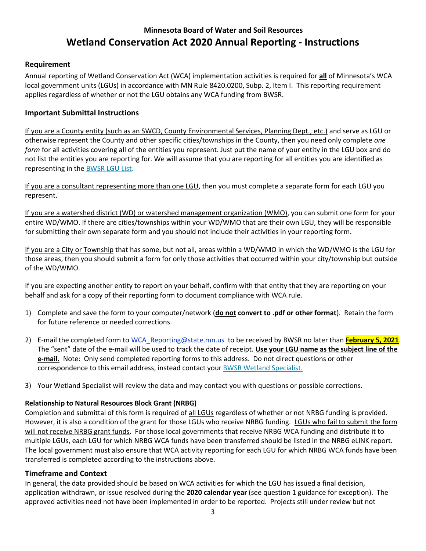# **Minnesota Board of Water and Soil Resources Wetland Conservation Act 2020 Annual Reporting - Instructions**

## **Requirement**

Annual reporting of Wetland Conservation Act (WCA) implementation activities is required for **all** of Minnesota's WCA local government units (LGUs) in accordance with MN Rule [8420.0200, Subp. 2, Item I.](https://www.revisor.mn.gov/rules/?id=8420.0200) This reporting requirement applies regardless of whether or not the LGU obtains any WCA funding from BWSR.

#### **Important Submittal Instructions**

If you are a County entity (such as an SWCD, County Environmental Services, Planning Dept., etc.) and serve as LGU or otherwise represent the County and other specific cities/townships in the County, then you need only complete *one form* for all activities covering all of the entities you represent. Just put the name of your entity in the LGU box and do not list the entities you are reporting for. We will assume that you are reporting for all entities you are identified as representing in the [BWSR LGU List.](https://bwsr.state.mn.us/wetland-conservation-act-contacts)

If you are a consultant representing more than one LGU, then you must complete a separate form for each LGU you represent.

If you are a watershed district (WD) or watershed management organization (WMO), you can submit one form for your entire WD/WMO. If there are cities/townships within your WD/WMO that are their own LGU, they will be responsible for submitting their own separate form and you should not include their activities in your reporting form.

If you are a City or Township that has some, but not all, areas within a WD/WMO in which the WD/WMO is the LGU for those areas, then you should submit a form for only those activities that occurred within your city/township but outside of the WD/WMO.

If you are expecting another entity to report on your behalf, confirm with that entity that they are reporting on your behalf and ask for a copy of their reporting form to document compliance with WCA rule.

- 1) Complete and save the form to your computer/network (**do not convert to .pdf or other format**). Retain the form for future reference or needed corrections.
- 2) E-mail the completed form to [WCA\\_Reporting@state.mn.us](mailto:WCA_Reporting@state.mn.us) to be received by BWSR no later than **February 5, 2021**. The "sent" date of the e-mail will be used to track the date of receipt. **Use your LGU name as the subject line of the e-mail.** Note: Only send completed reporting forms to this address. Do not direct questions or other correspondence to this email address, instead contact your [BWSR Wetland Specialist.](https://bwsr.state.mn.us/sites/default/files/2019-01/WCA_WCA_BWSR_Wet_Spec_Work_Areas.pdf)
- 3) Your Wetland Specialist will review the data and may contact you with questions or possible corrections.

#### **Relationship to Natural Resources Block Grant (NRBG)**

Completion and submittal of this form is required of all LGUs regardless of whether or not NRBG funding is provided. However, it is also a condition of the grant for those LGUs who receive NRBG funding. LGUs who fail to submit the form will not receive NRBG grant funds. For those local governments that receive NRBG WCA funding and distribute it to multiple LGUs, each LGU for which NRBG WCA funds have been transferred should be listed in the NRBG eLINK report. The local government must also ensure that WCA activity reporting for each LGU for which NRBG WCA funds have been transferred is completed according to the instructions above.

#### **Timeframe and Context**

In general, the data provided should be based on WCA activities for which the LGU has issued a final decision, application withdrawn, or issue resolved during the **2020 calendar year** (see question 1 guidance for exception). The approved activities need not have been implemented in order to be reported. Projects still under review but not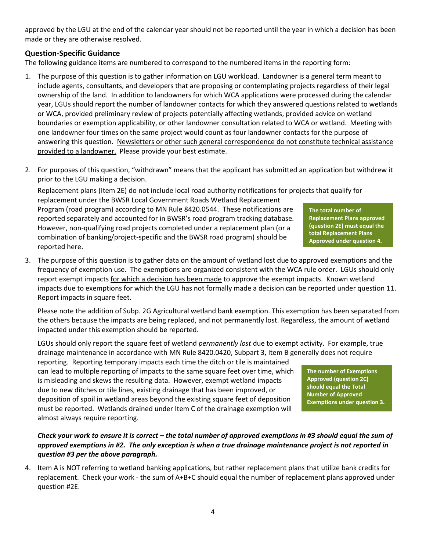approved by the LGU at the end of the calendar year should not be reported until the year in which a decision has been made or they are otherwise resolved.

# **Question-Specific Guidance**

The following guidance items are numbered to correspond to the numbered items in the reporting form:

- 1. The purpose of this question is to gather information on LGU workload. Landowner is a general term meant to include agents, consultants, and developers that are proposing or contemplating projects regardless of their legal ownership of the land. In addition to landowners for which WCA applications were processed during the calendar year, LGUs should report the number of landowner contacts for which they answered questions related to wetlands or WCA, provided preliminary review of projects potentially affecting wetlands, provided advice on wetland boundaries or exemption applicability, or other landowner consultation related to WCA or wetland. Meeting with one landowner four times on the same project would count as four landowner contacts for the purpose of answering this question. Newsletters or other such general correspondence do not constitute technical assistance provided to a landowner. Please provide your best estimate.
- 2. For purposes of this question, "withdrawn" means that the applicant has submitted an application but withdrew it prior to the LGU making a decision.

Replacement plans (Item 2E) do not include local road authority notifications for projects that qualify for replacement under the BWSR Local Government Roads Wetland Replacement Program (road program) according to [MN Rule 8420.0544.](https://www.revisor.mn.gov/rules/?id=8420.0544) These notifications are reported separately and accounted for in BWSR's road program tracking database. However, non-qualifying road projects completed under a replacement plan (or a combination of banking/project-specific and the BWSR road program) should be reported here.

3. The purpose of this question is to gather data on the amount of wetland lost due to approved exemptions and the frequency of exemption use. The exemptions are organized consistent with the WCA rule order. LGUs should only report exempt impacts for which a decision has been made to approve the exempt impacts. Known wetland impacts due to exemptions for which the LGU has not formally made a decision can be reported under question 11. Report impacts in square feet.

Please note the addition of Subp. 2G Agricultural wetland bank exemption. This exemption has been separated from the others because the impacts are being replaced, and not permanently lost. Regardless, the amount of wetland impacted under this exemption should be reported.

LGUs should only report the square feet of wetland *permanently lost* due to exempt activity. For example, true drainage maintenance in accordance with [MN Rule 8420.0420, Subpart 3, Item B](https://www.revisor.mn.gov/rules/?id=8420.0420) generally does not require

reporting. Reporting temporary impacts each time the ditch or tile is maintained can lead to multiple reporting of impacts to the same square feet over time, which is misleading and skews the resulting data. However, exempt wetland impacts due to new ditches or tile lines, existing drainage that has been improved, or deposition of spoil in wetland areas beyond the existing square feet of deposition must be reported. Wetlands drained under Item C of the drainage exemption will almost always require reporting.

## *Check your work to ensure it is correct – the total number of approved exemptions in #3 should equal the sum of approved exemptions in #2. The only exception is when a true drainage maintenance project is not reported in question #3 per the above paragraph.*

4. Item A is NOT referring to wetland banking applications, but rather replacement plans that utilize bank credits for replacement. Check your work - the sum of A+B+C should equal the number of replacement plans approved under question #2E.

**The total number of Replacement Plans approved (question 2E) must equal the total Replacement Plans Approved under question 4.** 

**The number of Exemptions Approved (question 2C) should equal the Total Number of Approved Exemptions under question 3.**